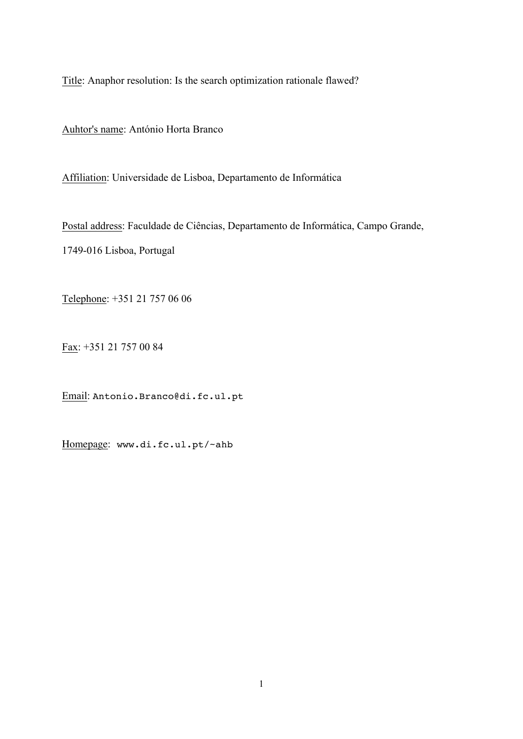Title: Anaphor resolution: Is the search optimization rationale flawed?

Auhtor's name: António Horta Branco

Affiliation: Universidade de Lisboa, Departamento de Informática

Postal address: Faculdade de Ciências, Departamento de Informática, Campo Grande, 1749-016 Lisboa, Portugal

Telephone: +351 21 757 06 06

Fax: +351 21 757 00 84

Email: Antonio.Branco@di.fc.ul.pt

Homepage: www.di.fc.ul.pt/~ahb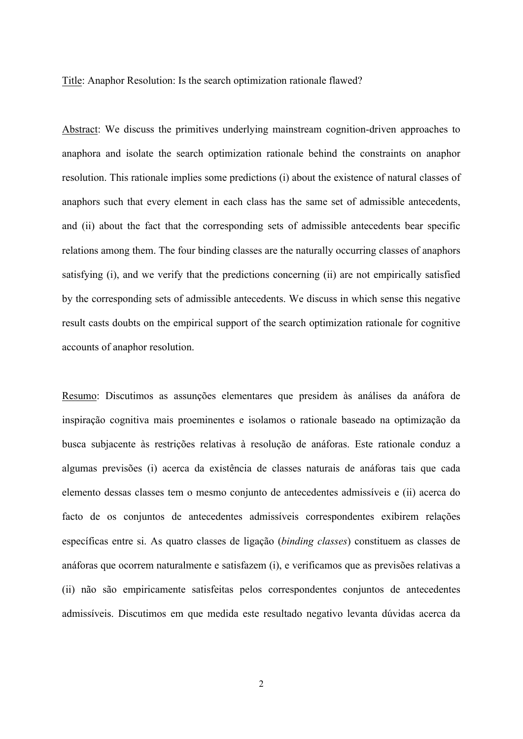Title: Anaphor Resolution: Is the search optimization rationale flawed?

Abstract: We discuss the primitives underlying mainstream cognition-driven approaches to anaphora and isolate the search optimization rationale behind the constraints on anaphor resolution. This rationale implies some predictions (i) about the existence of natural classes of anaphors such that every element in each class has the same set of admissible antecedents, and (ii) about the fact that the corresponding sets of admissible antecedents bear specific relations among them. The four binding classes are the naturally occurring classes of anaphors satisfying (i), and we verify that the predictions concerning (ii) are not empirically satisfied by the corresponding sets of admissible antecedents. We discuss in which sense this negative result casts doubts on the empirical support of the search optimization rationale for cognitive accounts of anaphor resolution.

Resumo: Discutimos as assunções elementares que presidem às análises da anáfora de inspiração cognitiva mais proeminentes e isolamos o rationale baseado na optimização da busca subjacente às restrições relativas à resolução de anáforas. Este rationale conduz a algumas previsões (i) acerca da existência de classes naturais de anáforas tais que cada elemento dessas classes tem o mesmo conjunto de antecedentes admissíveis e (ii) acerca do facto de os conjuntos de antecedentes admissíveis correspondentes exibirem relações específicas entre si. As quatro classes de ligação (*binding classes*) constituem as classes de anáforas que ocorrem naturalmente e satisfazem (i), e verificamos que as previsões relativas a (ii) não são empiricamente satisfeitas pelos correspondentes conjuntos de antecedentes admissíveis. Discutimos em que medida este resultado negativo levanta dúvidas acerca da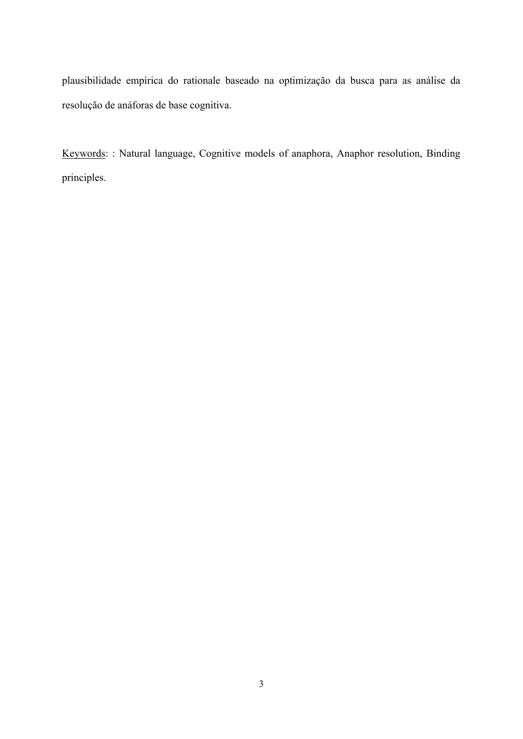plausibilidade empírica do rationale baseado na optimização da busca para as análise da resolução de anáforas de base cognitiva.

Keywords: : Natural language, Cognitive models of anaphora, Anaphor resolution, Binding principles.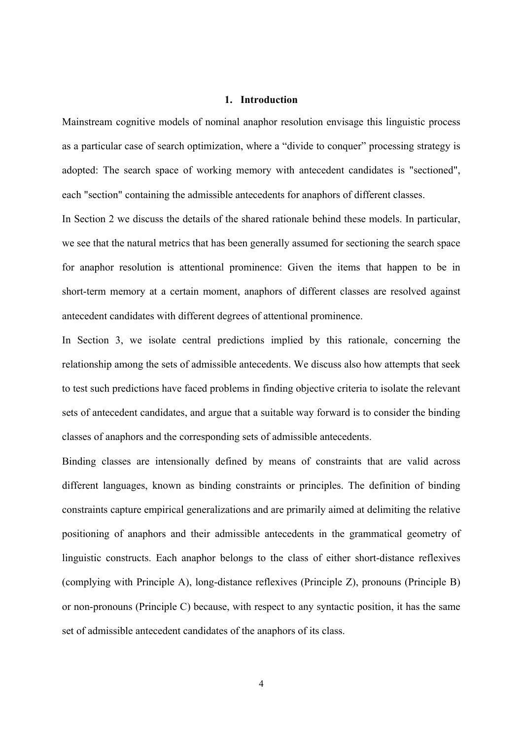#### **1. Introduction**

Mainstream cognitive models of nominal anaphor resolution envisage this linguistic process as a particular case of search optimization, where a "divide to conquer" processing strategy is adopted: The search space of working memory with antecedent candidates is "sectioned", each "section" containing the admissible antecedents for anaphors of different classes.

In Section 2 we discuss the details of the shared rationale behind these models. In particular, we see that the natural metrics that has been generally assumed for sectioning the search space for anaphor resolution is attentional prominence: Given the items that happen to be in short-term memory at a certain moment, anaphors of different classes are resolved against antecedent candidates with different degrees of attentional prominence.

In Section 3, we isolate central predictions implied by this rationale, concerning the relationship among the sets of admissible antecedents. We discuss also how attempts that seek to test such predictions have faced problems in finding objective criteria to isolate the relevant sets of antecedent candidates, and argue that a suitable way forward is to consider the binding classes of anaphors and the corresponding sets of admissible antecedents.

Binding classes are intensionally defined by means of constraints that are valid across different languages, known as binding constraints or principles. The definition of binding constraints capture empirical generalizations and are primarily aimed at delimiting the relative positioning of anaphors and their admissible antecedents in the grammatical geometry of linguistic constructs. Each anaphor belongs to the class of either short-distance reflexives (complying with Principle A), long-distance reflexives (Principle Z), pronouns (Principle B) or non-pronouns (Principle C) because, with respect to any syntactic position, it has the same set of admissible antecedent candidates of the anaphors of its class.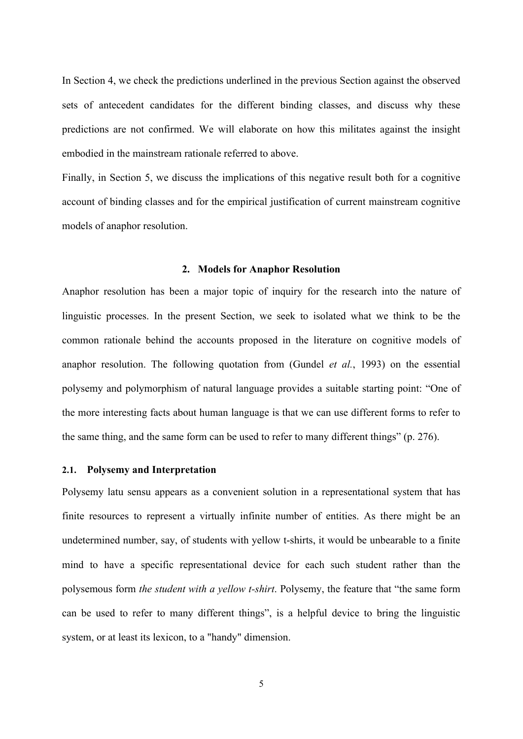In Section 4, we check the predictions underlined in the previous Section against the observed sets of antecedent candidates for the different binding classes, and discuss why these predictions are not confirmed. We will elaborate on how this militates against the insight embodied in the mainstream rationale referred to above.

Finally, in Section 5, we discuss the implications of this negative result both for a cognitive account of binding classes and for the empirical justification of current mainstream cognitive models of anaphor resolution.

#### **2. Models for Anaphor Resolution**

Anaphor resolution has been a major topic of inquiry for the research into the nature of linguistic processes. In the present Section, we seek to isolated what we think to be the common rationale behind the accounts proposed in the literature on cognitive models of anaphor resolution. The following quotation from (Gundel *et al.*, 1993) on the essential polysemy and polymorphism of natural language provides a suitable starting point: "One of the more interesting facts about human language is that we can use different forms to refer to the same thing, and the same form can be used to refer to many different things" (p. 276).

### **2.1. Polysemy and Interpretation**

Polysemy latu sensu appears as a convenient solution in a representational system that has finite resources to represent a virtually infinite number of entities. As there might be an undetermined number, say, of students with yellow t-shirts, it would be unbearable to a finite mind to have a specific representational device for each such student rather than the polysemous form *the student with a yellow t-shirt*. Polysemy, the feature that "the same form can be used to refer to many different things", is a helpful device to bring the linguistic system, or at least its lexicon, to a "handy" dimension.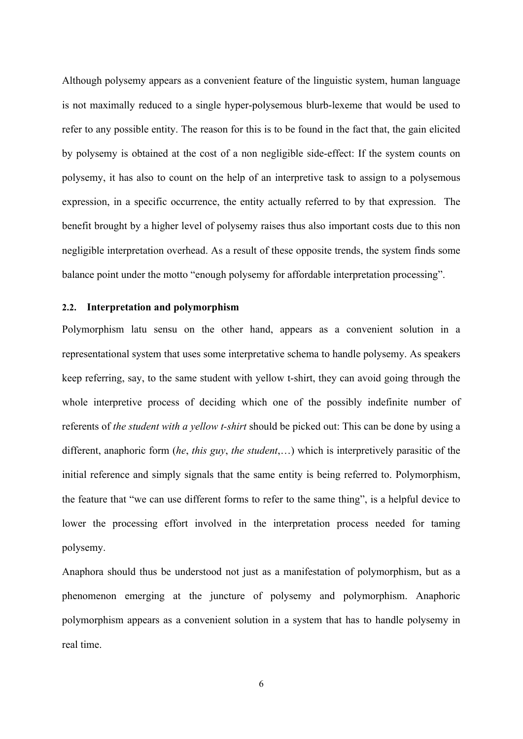Although polysemy appears as a convenient feature of the linguistic system, human language is not maximally reduced to a single hyper-polysemous blurb-lexeme that would be used to refer to any possible entity. The reason for this is to be found in the fact that, the gain elicited by polysemy is obtained at the cost of a non negligible side-effect: If the system counts on polysemy, it has also to count on the help of an interpretive task to assign to a polysemous expression, in a specific occurrence, the entity actually referred to by that expression. The benefit brought by a higher level of polysemy raises thus also important costs due to this non negligible interpretation overhead. As a result of these opposite trends, the system finds some balance point under the motto "enough polysemy for affordable interpretation processing".

# **2.2. Interpretation and polymorphism**

Polymorphism latu sensu on the other hand, appears as a convenient solution in a representational system that uses some interpretative schema to handle polysemy. As speakers keep referring, say, to the same student with yellow t-shirt, they can avoid going through the whole interpretive process of deciding which one of the possibly indefinite number of referents of *the student with a yellow t-shirt* should be picked out: This can be done by using a different, anaphoric form (*he*, *this guy*, *the student*,…) which is interpretively parasitic of the initial reference and simply signals that the same entity is being referred to. Polymorphism, the feature that "we can use different forms to refer to the same thing", is a helpful device to lower the processing effort involved in the interpretation process needed for taming polysemy.

Anaphora should thus be understood not just as a manifestation of polymorphism, but as a phenomenon emerging at the juncture of polysemy and polymorphism. Anaphoric polymorphism appears as a convenient solution in a system that has to handle polysemy in real time.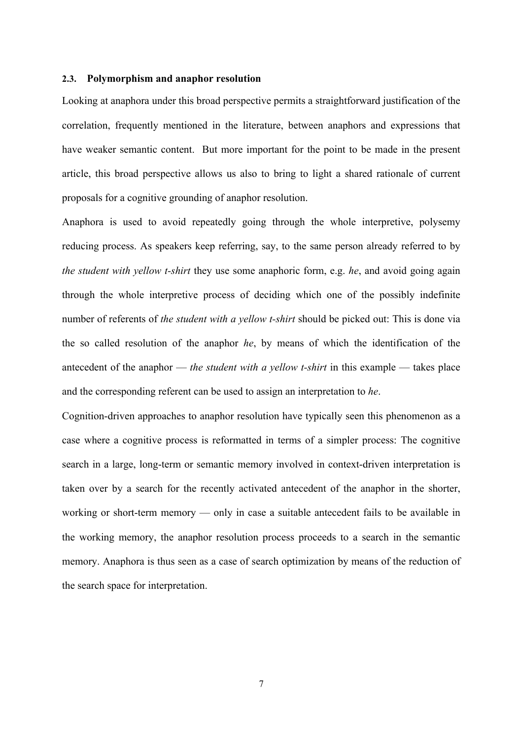### **2.3. Polymorphism and anaphor resolution**

Looking at anaphora under this broad perspective permits a straightforward justification of the correlation, frequently mentioned in the literature, between anaphors and expressions that have weaker semantic content. But more important for the point to be made in the present article, this broad perspective allows us also to bring to light a shared rationale of current proposals for a cognitive grounding of anaphor resolution.

Anaphora is used to avoid repeatedly going through the whole interpretive, polysemy reducing process. As speakers keep referring, say, to the same person already referred to by *the student with yellow t-shirt* they use some anaphoric form, e.g. *he*, and avoid going again through the whole interpretive process of deciding which one of the possibly indefinite number of referents of *the student with a yellow t-shirt* should be picked out: This is done via the so called resolution of the anaphor *he*, by means of which the identification of the antecedent of the anaphor — *the student with a yellow t-shirt* in this example — takes place and the corresponding referent can be used to assign an interpretation to *he*.

Cognition-driven approaches to anaphor resolution have typically seen this phenomenon as a case where a cognitive process is reformatted in terms of a simpler process: The cognitive search in a large, long-term or semantic memory involved in context-driven interpretation is taken over by a search for the recently activated antecedent of the anaphor in the shorter, working or short-term memory — only in case a suitable antecedent fails to be available in the working memory, the anaphor resolution process proceeds to a search in the semantic memory. Anaphora is thus seen as a case of search optimization by means of the reduction of the search space for interpretation.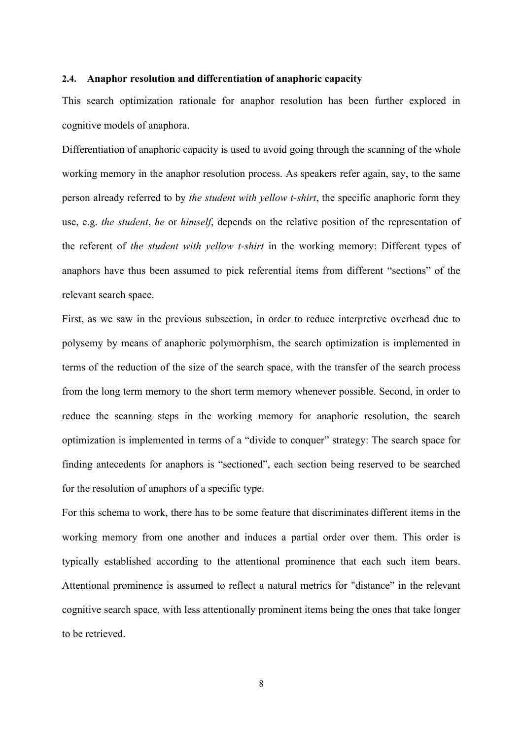### **2.4. Anaphor resolution and differentiation of anaphoric capacity**

This search optimization rationale for anaphor resolution has been further explored in cognitive models of anaphora.

Differentiation of anaphoric capacity is used to avoid going through the scanning of the whole working memory in the anaphor resolution process. As speakers refer again, say, to the same person already referred to by *the student with yellow t-shirt*, the specific anaphoric form they use, e.g. *the student*, *he* or *himself*, depends on the relative position of the representation of the referent of *the student with yellow t-shirt* in the working memory: Different types of anaphors have thus been assumed to pick referential items from different "sections" of the relevant search space.

First, as we saw in the previous subsection, in order to reduce interpretive overhead due to polysemy by means of anaphoric polymorphism, the search optimization is implemented in terms of the reduction of the size of the search space, with the transfer of the search process from the long term memory to the short term memory whenever possible. Second, in order to reduce the scanning steps in the working memory for anaphoric resolution, the search optimization is implemented in terms of a "divide to conquer" strategy: The search space for finding antecedents for anaphors is "sectioned", each section being reserved to be searched for the resolution of anaphors of a specific type.

For this schema to work, there has to be some feature that discriminates different items in the working memory from one another and induces a partial order over them. This order is typically established according to the attentional prominence that each such item bears. Attentional prominence is assumed to reflect a natural metrics for "distance" in the relevant cognitive search space, with less attentionally prominent items being the ones that take longer to be retrieved.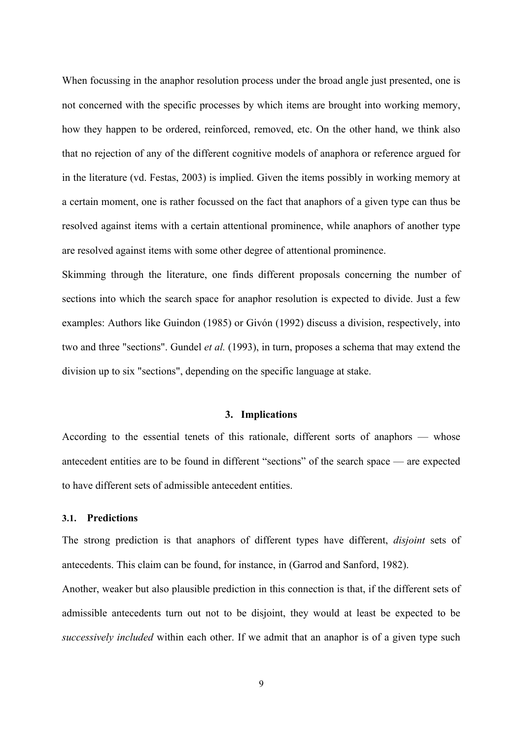When focussing in the anaphor resolution process under the broad angle just presented, one is not concerned with the specific processes by which items are brought into working memory, how they happen to be ordered, reinforced, removed, etc. On the other hand, we think also that no rejection of any of the different cognitive models of anaphora or reference argued for in the literature (vd. Festas, 2003) is implied. Given the items possibly in working memory at a certain moment, one is rather focussed on the fact that anaphors of a given type can thus be resolved against items with a certain attentional prominence, while anaphors of another type are resolved against items with some other degree of attentional prominence.

Skimming through the literature, one finds different proposals concerning the number of sections into which the search space for anaphor resolution is expected to divide. Just a few examples: Authors like Guindon (1985) or Givón (1992) discuss a division, respectively, into two and three "sections". Gundel *et al.* (1993), in turn, proposes a schema that may extend the division up to six "sections", depending on the specific language at stake.

### **3. Implications**

According to the essential tenets of this rationale, different sorts of anaphors — whose antecedent entities are to be found in different "sections" of the search space — are expected to have different sets of admissible antecedent entities.

# **3.1. Predictions**

The strong prediction is that anaphors of different types have different, *disjoint* sets of antecedents. This claim can be found, for instance, in (Garrod and Sanford, 1982).

Another, weaker but also plausible prediction in this connection is that, if the different sets of admissible antecedents turn out not to be disjoint, they would at least be expected to be *successively included* within each other. If we admit that an anaphor is of a given type such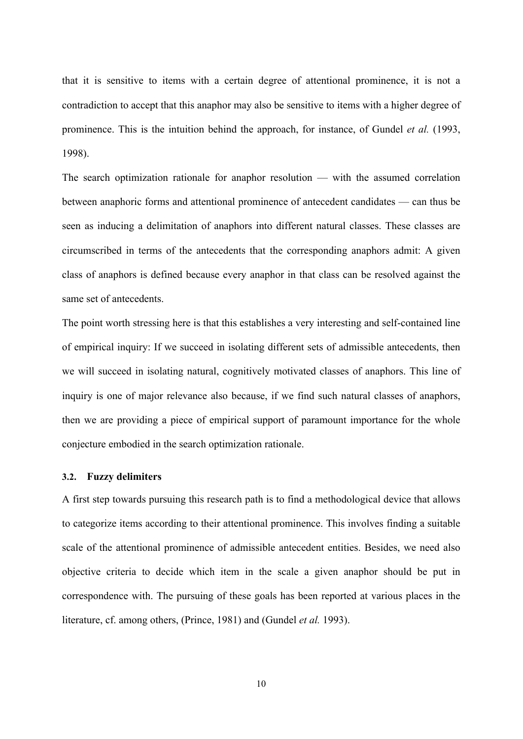that it is sensitive to items with a certain degree of attentional prominence, it is not a contradiction to accept that this anaphor may also be sensitive to items with a higher degree of prominence. This is the intuition behind the approach, for instance, of Gundel *et al.* (1993, 1998).

The search optimization rationale for anaphor resolution — with the assumed correlation between anaphoric forms and attentional prominence of antecedent candidates — can thus be seen as inducing a delimitation of anaphors into different natural classes. These classes are circumscribed in terms of the antecedents that the corresponding anaphors admit: A given class of anaphors is defined because every anaphor in that class can be resolved against the same set of antecedents.

The point worth stressing here is that this establishes a very interesting and self-contained line of empirical inquiry: If we succeed in isolating different sets of admissible antecedents, then we will succeed in isolating natural, cognitively motivated classes of anaphors. This line of inquiry is one of major relevance also because, if we find such natural classes of anaphors, then we are providing a piece of empirical support of paramount importance for the whole conjecture embodied in the search optimization rationale.

### **3.2. Fuzzy delimiters**

A first step towards pursuing this research path is to find a methodological device that allows to categorize items according to their attentional prominence. This involves finding a suitable scale of the attentional prominence of admissible antecedent entities. Besides, we need also objective criteria to decide which item in the scale a given anaphor should be put in correspondence with. The pursuing of these goals has been reported at various places in the literature, cf. among others, (Prince, 1981) and (Gundel *et al.* 1993).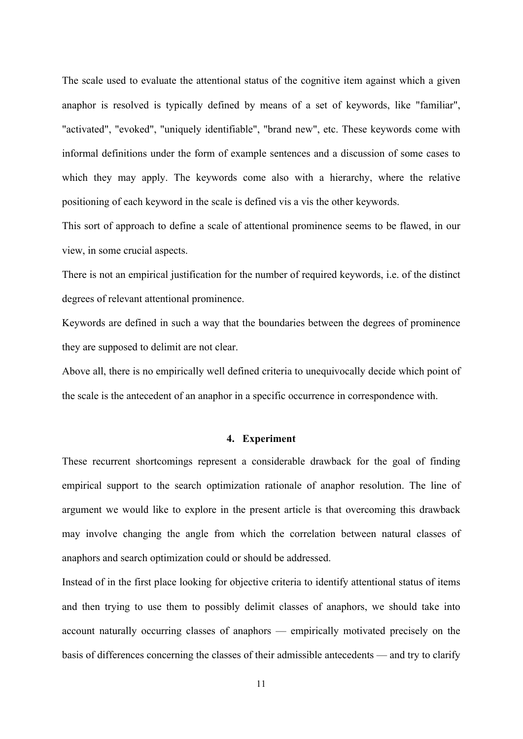The scale used to evaluate the attentional status of the cognitive item against which a given anaphor is resolved is typically defined by means of a set of keywords, like "familiar", "activated", "evoked", "uniquely identifiable", "brand new", etc. These keywords come with informal definitions under the form of example sentences and a discussion of some cases to which they may apply. The keywords come also with a hierarchy, where the relative positioning of each keyword in the scale is defined vis a vis the other keywords.

This sort of approach to define a scale of attentional prominence seems to be flawed, in our view, in some crucial aspects.

There is not an empirical justification for the number of required keywords, i.e. of the distinct degrees of relevant attentional prominence.

Keywords are defined in such a way that the boundaries between the degrees of prominence they are supposed to delimit are not clear.

Above all, there is no empirically well defined criteria to unequivocally decide which point of the scale is the antecedent of an anaphor in a specific occurrence in correspondence with.

### **4. Experiment**

These recurrent shortcomings represent a considerable drawback for the goal of finding empirical support to the search optimization rationale of anaphor resolution. The line of argument we would like to explore in the present article is that overcoming this drawback may involve changing the angle from which the correlation between natural classes of anaphors and search optimization could or should be addressed.

Instead of in the first place looking for objective criteria to identify attentional status of items and then trying to use them to possibly delimit classes of anaphors, we should take into account naturally occurring classes of anaphors — empirically motivated precisely on the basis of differences concerning the classes of their admissible antecedents — and try to clarify

11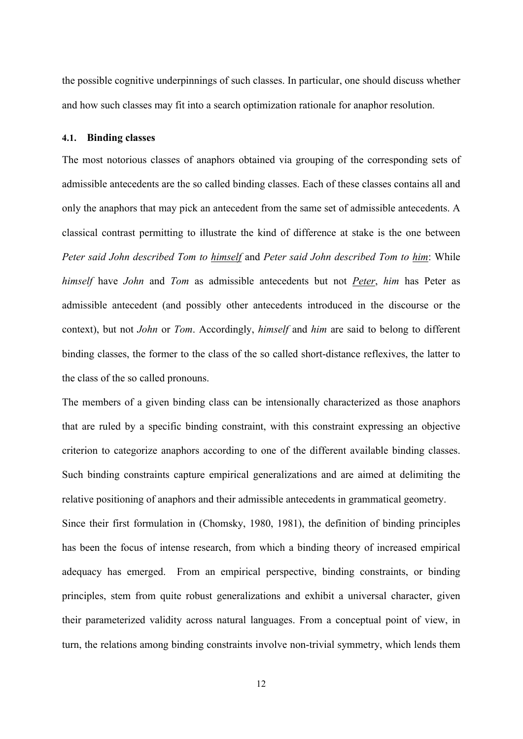the possible cognitive underpinnings of such classes. In particular, one should discuss whether and how such classes may fit into a search optimization rationale for anaphor resolution.

#### **4.1. Binding classes**

The most notorious classes of anaphors obtained via grouping of the corresponding sets of admissible antecedents are the so called binding classes. Each of these classes contains all and only the anaphors that may pick an antecedent from the same set of admissible antecedents. A classical contrast permitting to illustrate the kind of difference at stake is the one between *Peter said John described Tom to himself* and *Peter said John described Tom to him*: While *himself* have *John* and *Tom* as admissible antecedents but not *Peter*, *him* has Peter as admissible antecedent (and possibly other antecedents introduced in the discourse or the context), but not *John* or *Tom*. Accordingly, *himself* and *him* are said to belong to different binding classes, the former to the class of the so called short-distance reflexives, the latter to the class of the so called pronouns.

The members of a given binding class can be intensionally characterized as those anaphors that are ruled by a specific binding constraint, with this constraint expressing an objective criterion to categorize anaphors according to one of the different available binding classes. Such binding constraints capture empirical generalizations and are aimed at delimiting the relative positioning of anaphors and their admissible antecedents in grammatical geometry.

Since their first formulation in (Chomsky, 1980, 1981), the definition of binding principles has been the focus of intense research, from which a binding theory of increased empirical adequacy has emerged. From an empirical perspective, binding constraints, or binding principles, stem from quite robust generalizations and exhibit a universal character, given their parameterized validity across natural languages. From a conceptual point of view, in turn, the relations among binding constraints involve non-trivial symmetry, which lends them

12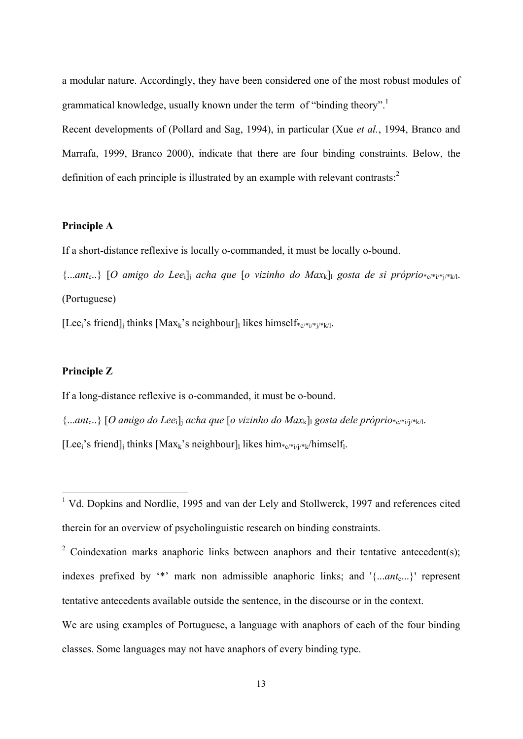a modular nature. Accordingly, they have been considered one of the most robust modules of grammatical knowledge, usually known under the term of "binding theory".<sup>1</sup>

Recent developments of (Pollard and Sag, 1994), in particular (Xue *et al.*, 1994, Branco and Marrafa, 1999, Branco 2000), indicate that there are four binding constraints. Below, the definition of each principle is illustrated by an example with relevant contrasts:<sup>2</sup>

# **Principle A**

If a short-distance reflexive is locally o-commanded, it must be locally o-bound.

{...*ant*c..} [*O amigo do Lee*i]j *acha que* [*o vizinho do Max*k]l *gosta de si próprio*\*c/\*i/\*j/\*k/l. (Portuguese)

[Lee;'s friend]; thinks [Max<sub>k</sub>'s neighbour]; likes himself\* $_{c/*(i+1)/(k+1)}$ .

# **Principle Z**

If a long-distance reflexive is o-commanded, it must be o-bound.

{...*ant*c..} [*O amigo do Lee*i]j *acha que* [*o vizinho do Max*k]l *gosta dele próprio*\*c/\*i/j/\*k/l.

[Lee;'s friend]; thinks  $[Max_k]$ 's neighbour] likes him $C_{c'}$ \*i/j/\*k/himself.

<sup>&</sup>lt;sup>1</sup> Vd. Dopkins and Nordlie, 1995 and van der Lely and Stollwerck, 1997 and references cited therein for an overview of psycholinguistic research on binding constraints.

<sup>&</sup>lt;sup>2</sup> Coindexation marks anaphoric links between anaphors and their tentative antecedent(s); indexes prefixed by '\*' mark non admissible anaphoric links; and '{...*ant<sub>c</sub>*...}' represent tentative antecedents available outside the sentence, in the discourse or in the context.

We are using examples of Portuguese, a language with anaphors of each of the four binding classes. Some languages may not have anaphors of every binding type.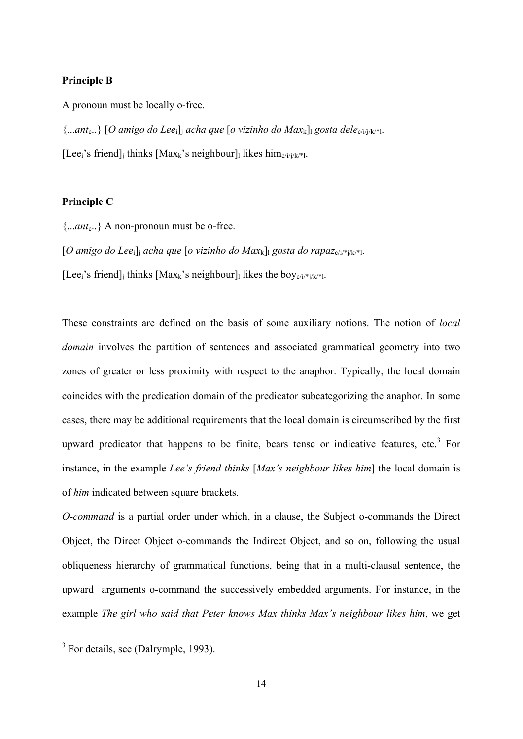### **Principle B**

A pronoun must be locally o-free.

{...*ant*c..} [*O amigo do Lee*i]j *acha que* [*o vizinho do Max*k]l *gosta dele*c/i/j/k/\*l.

[Lee<sub>i</sub>'s friend]<sub>i</sub> thinks [Max<sub>k</sub>'s neighbour]<sub>1</sub> likes him<sub>c/i/j/k/\*1</sub>.

# **Principle C**

{...*ant*c..} A non-pronoun must be o-free.

 $[O \text{ amigo do Lee}_i]$  *acha que*  $[O \text{ vizinho do Max}_k]$  *gosta do rapaz*<sub>c/i/\*j/k/\*]</sub>.

[Lee<sub>i</sub>'s friend]<sub>i</sub> thinks [Max<sub>k</sub>'s neighbour]<sub>l</sub> likes the boy<sub>c/i/\*i/k/\*l</sub>.

These constraints are defined on the basis of some auxiliary notions. The notion of *local domain* involves the partition of sentences and associated grammatical geometry into two zones of greater or less proximity with respect to the anaphor. Typically, the local domain coincides with the predication domain of the predicator subcategorizing the anaphor. In some cases, there may be additional requirements that the local domain is circumscribed by the first upward predicator that happens to be finite, bears tense or indicative features, etc.<sup>3</sup> For instance, in the example *Lee's friend thinks* [*Max's neighbour likes him*] the local domain is of *him* indicated between square brackets.

*O-command* is a partial order under which, in a clause, the Subject o-commands the Direct Object, the Direct Object o-commands the Indirect Object, and so on, following the usual obliqueness hierarchy of grammatical functions, being that in a multi-clausal sentence, the upward arguments o-command the successively embedded arguments. For instance, in the example *The girl who said that Peter knows Max thinks Max's neighbour likes him*, we get

<sup>&</sup>lt;sup>3</sup> For details, see (Dalrymple, 1993).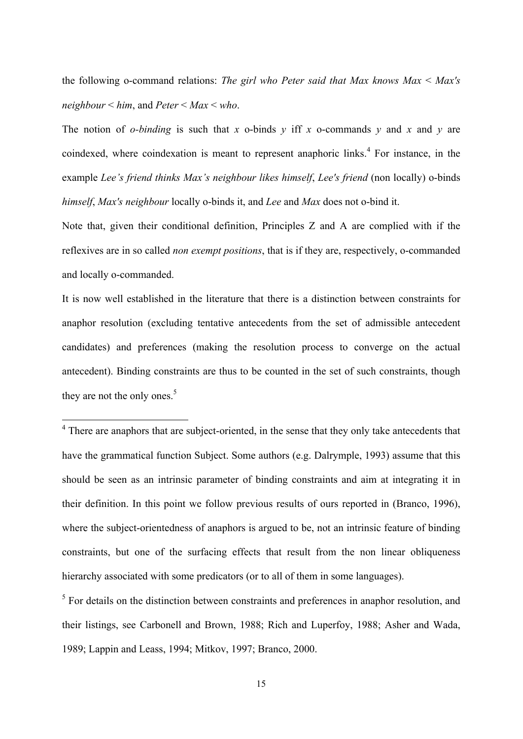the following o-command relations: *The girl who Peter said that Max knows Max* < *Max's neighbour* < *him*, and *Peter* < *Max* < *who*.

The notion of *o-binding* is such that *x* o-binds *y* iff *x* o-commands *y* and *x* and *y* are coindexed, where coindexation is meant to represent anaphoric links.<sup>4</sup> For instance, in the example *Lee's friend thinks Max's neighbour likes himself*, *Lee's friend* (non locally) o-binds *himself*, *Max's neighbour* locally o-binds it, and *Lee* and *Max* does not o-bind it.

Note that, given their conditional definition, Principles Z and A are complied with if the reflexives are in so called *non exempt positions*, that is if they are, respectively, o-commanded and locally o-commanded.

It is now well established in the literature that there is a distinction between constraints for anaphor resolution (excluding tentative antecedents from the set of admissible antecedent candidates) and preferences (making the resolution process to converge on the actual antecedent). Binding constraints are thus to be counted in the set of such constraints, though they are not the only ones.<sup>5</sup>

 $<sup>4</sup>$  There are anaphors that are subject-oriented, in the sense that they only take antecedents that</sup> have the grammatical function Subject. Some authors (e.g. Dalrymple, 1993) assume that this should be seen as an intrinsic parameter of binding constraints and aim at integrating it in their definition. In this point we follow previous results of ours reported in (Branco, 1996), where the subject-orientedness of anaphors is argued to be, not an intrinsic feature of binding constraints, but one of the surfacing effects that result from the non linear obliqueness hierarchy associated with some predicators (or to all of them in some languages).

 $<sup>5</sup>$  For details on the distinction between constraints and preferences in anaphor resolution, and</sup> their listings, see Carbonell and Brown, 1988; Rich and Luperfoy, 1988; Asher and Wada, 1989; Lappin and Leass, 1994; Mitkov, 1997; Branco, 2000.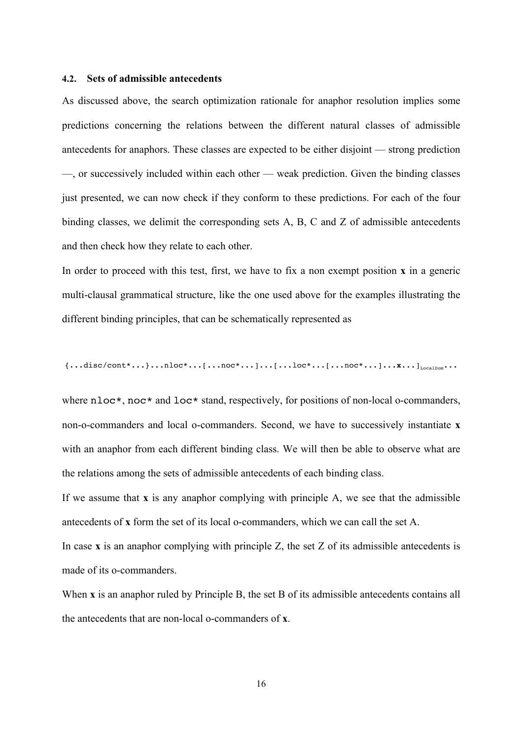### **4.2. Sets of admissible antecedents**

As discussed above, the search optimization rationale for anaphor resolution implies some predictions concerning the relations between the different natural classes of admissible antecedents for anaphors. These classes are expected to be either disjoint — strong prediction —, or successively included within each other — weak prediction. Given the binding classes just presented, we can now check if they conform to these predictions. For each of the four binding classes, we delimit the corresponding sets A, B, C and Z of admissible antecedents and then check how they relate to each other.

In order to proceed with this test, first, we have to fix a non exempt position **x** in a generic multi-clausal grammatical structure, like the one used above for the examples illustrating the different binding principles, that can be schematically represented as

{...disc/cont\*...}...nloc\*...[...noc\*...]...[...loc\*...[...noc\*...]...**x**...]<sub>LocalDom</sub>...

where nloc<sup>\*</sup>, noc<sup>\*</sup> and loc<sup>\*</sup> stand, respectively, for positions of non-local o-commanders, non-o-commanders and local o-commanders. Second, we have to successively instantiate **x** with an anaphor from each different binding class. We will then be able to observe what are the relations among the sets of admissible antecedents of each binding class.

If we assume that **x** is any anaphor complying with principle A, we see that the admissible antecedents of **x** form the set of its local o-commanders, which we can call the set A.

In case  $\bf{x}$  is an anaphor complying with principle  $\bf{Z}$ , the set  $\bf{Z}$  of its admissible antecedents is made of its o-commanders.

When **x** is an anaphor ruled by Principle B, the set B of its admissible antecedents contains all the antecedents that are non-local o-commanders of **x**.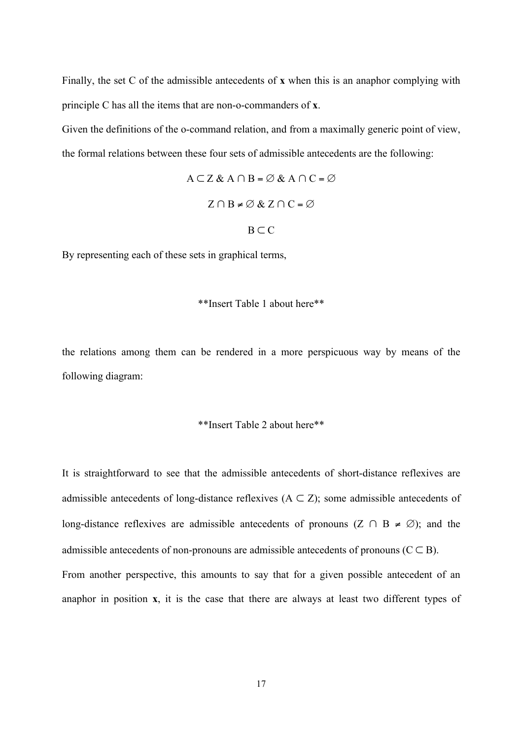Finally, the set C of the admissible antecedents of **x** when this is an anaphor complying with principle C has all the items that are non-o-commanders of **x**.

Given the definitions of the o-command relation, and from a maximally generic point of view, the formal relations between these four sets of admissible antecedents are the following:

$$
A \subset Z \& A \cap B = \emptyset \& A \cap C = \emptyset
$$
  

$$
Z \cap B \neq \emptyset \& Z \cap C = \emptyset
$$
  

$$
B \subset C
$$

By representing each of these sets in graphical terms,

## \*\*Insert Table 1 about here\*\*

the relations among them can be rendered in a more perspicuous way by means of the following diagram:

#### \*\*Insert Table 2 about here\*\*

It is straightforward to see that the admissible antecedents of short-distance reflexives are admissible antecedents of long-distance reflexives  $(A \subset Z)$ ; some admissible antecedents of long-distance reflexives are admissible antecedents of pronouns  $(Z \cap B \neq \emptyset)$ ; and the admissible antecedents of non-pronouns are admissible antecedents of pronouns ( $C \subseteq B$ ). From another perspective, this amounts to say that for a given possible antecedent of an anaphor in position **x**, it is the case that there are always at least two different types of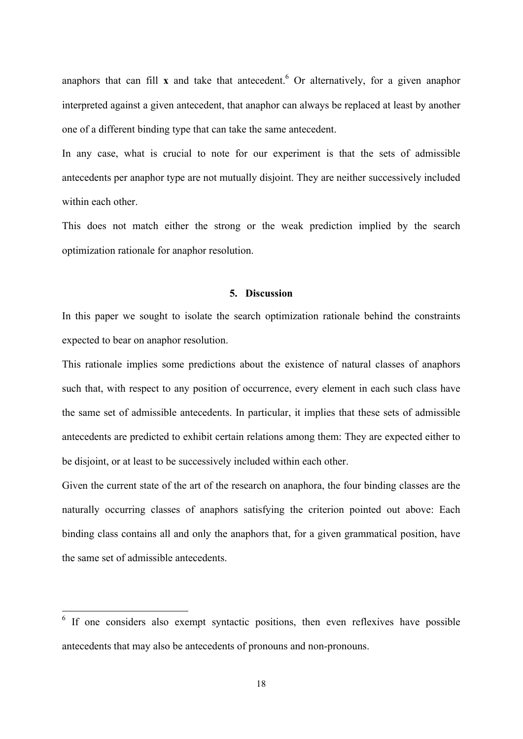anaphors that can fill  $x$  and take that antecedent.<sup>6</sup> Or alternatively, for a given anaphor interpreted against a given antecedent, that anaphor can always be replaced at least by another one of a different binding type that can take the same antecedent.

In any case, what is crucial to note for our experiment is that the sets of admissible antecedents per anaphor type are not mutually disjoint. They are neither successively included within each other.

This does not match either the strong or the weak prediction implied by the search optimization rationale for anaphor resolution.

# **5. Discussion**

In this paper we sought to isolate the search optimization rationale behind the constraints expected to bear on anaphor resolution.

This rationale implies some predictions about the existence of natural classes of anaphors such that, with respect to any position of occurrence, every element in each such class have the same set of admissible antecedents. In particular, it implies that these sets of admissible antecedents are predicted to exhibit certain relations among them: They are expected either to be disjoint, or at least to be successively included within each other.

Given the current state of the art of the research on anaphora, the four binding classes are the naturally occurring classes of anaphors satisfying the criterion pointed out above: Each binding class contains all and only the anaphors that, for a given grammatical position, have the same set of admissible antecedents.

<sup>&</sup>lt;sup>6</sup> If one considers also exempt syntactic positions, then even reflexives have possible antecedents that may also be antecedents of pronouns and non-pronouns.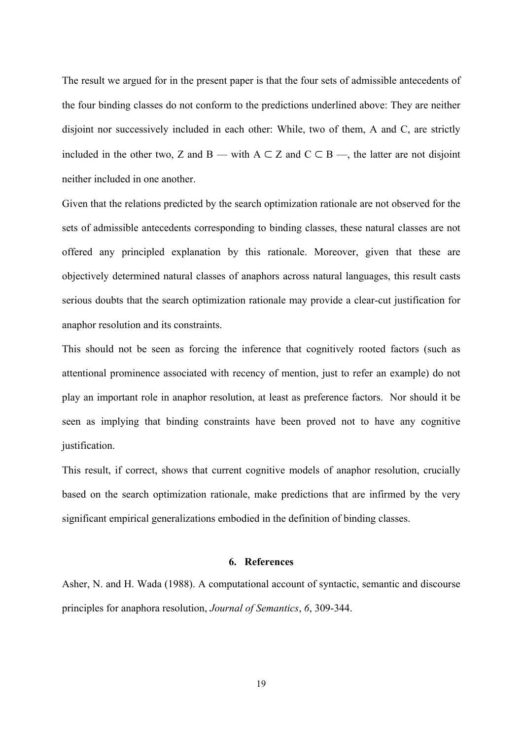The result we argued for in the present paper is that the four sets of admissible antecedents of the four binding classes do not conform to the predictions underlined above: They are neither disjoint nor successively included in each other: While, two of them, A and C, are strictly included in the other two, Z and B — with  $A \subset Z$  and  $C \subset B$  —, the latter are not disjoint neither included in one another.

Given that the relations predicted by the search optimization rationale are not observed for the sets of admissible antecedents corresponding to binding classes, these natural classes are not offered any principled explanation by this rationale. Moreover, given that these are objectively determined natural classes of anaphors across natural languages, this result casts serious doubts that the search optimization rationale may provide a clear-cut justification for anaphor resolution and its constraints.

This should not be seen as forcing the inference that cognitively rooted factors (such as attentional prominence associated with recency of mention, just to refer an example) do not play an important role in anaphor resolution, at least as preference factors. Nor should it be seen as implying that binding constraints have been proved not to have any cognitive justification.

This result, if correct, shows that current cognitive models of anaphor resolution, crucially based on the search optimization rationale, make predictions that are infirmed by the very significant empirical generalizations embodied in the definition of binding classes.

# **6. References**

Asher, N. and H. Wada (1988). A computational account of syntactic, semantic and discourse principles for anaphora resolution, *Journal of Semantics*, *6*, 309-344.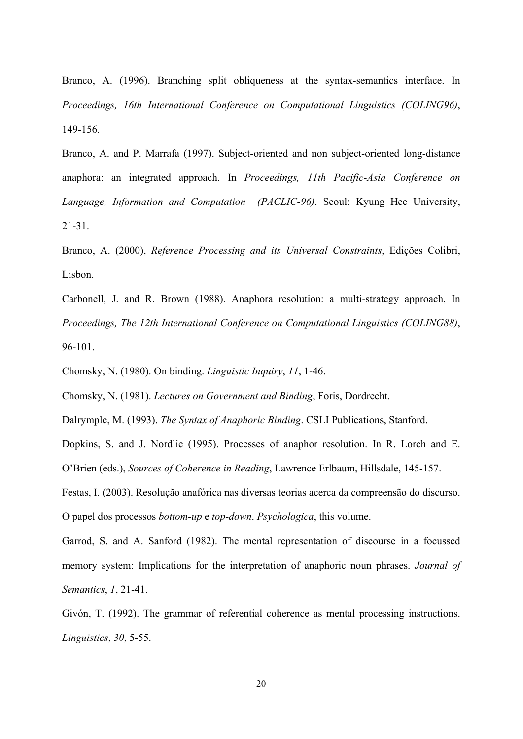Branco, A. (1996). Branching split obliqueness at the syntax-semantics interface. In *Proceedings, 16th International Conference on Computational Linguistics (COLING96)*, 149-156.

Branco, A. and P. Marrafa (1997). Subject-oriented and non subject-oriented long-distance anaphora: an integrated approach. In *Proceedings, 11th Pacific-Asia Conference on Language, Information and Computation (PACLIC-96)*. Seoul: Kyung Hee University, 21-31.

Branco, A. (2000), *Reference Processing and its Universal Constraints*, Edições Colibri, Lisbon.

Carbonell, J. and R. Brown (1988). Anaphora resolution: a multi-strategy approach, In *Proceedings, The 12th International Conference on Computational Linguistics (COLING88)*, 96-101.

Chomsky, N. (1980). On binding. *Linguistic Inquiry*, *11*, 1-46.

Chomsky, N. (1981). *Lectures on Government and Binding*, Foris, Dordrecht.

Dalrymple, M. (1993). *The Syntax of Anaphoric Binding*. CSLI Publications, Stanford.

Dopkins, S. and J. Nordlie (1995). Processes of anaphor resolution. In R. Lorch and E. O'Brien (eds.), *Sources of Coherence in Reading*, Lawrence Erlbaum, Hillsdale, 145-157.

Festas, I. (2003). Resolução anafórica nas diversas teorias acerca da compreensão do discurso. O papel dos processos *bottom-up* e *top-down*. *Psychologica*, this volume.

Garrod, S. and A. Sanford (1982). The mental representation of discourse in a focussed memory system: Implications for the interpretation of anaphoric noun phrases. *Journal of Semantics*, *1*, 21-41.

Givón, T. (1992). The grammar of referential coherence as mental processing instructions. *Linguistics*, *30*, 5-55.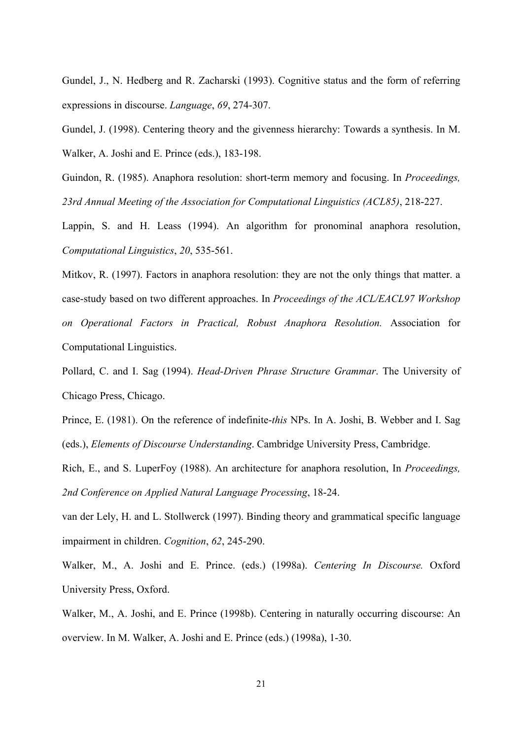Gundel, J., N. Hedberg and R. Zacharski (1993). Cognitive status and the form of referring expressions in discourse. *Language*, *69*, 274-307.

Gundel, J. (1998). Centering theory and the givenness hierarchy: Towards a synthesis. In M. Walker, A. Joshi and E. Prince (eds.), 183-198.

Guindon, R. (1985). Anaphora resolution: short-term memory and focusing. In *Proceedings, 23rd Annual Meeting of the Association for Computational Linguistics (ACL85)*, 218-227.

Lappin, S. and H. Leass (1994). An algorithm for pronominal anaphora resolution, *Computational Linguistics*, *20*, 535-561.

Mitkov, R. (1997). Factors in anaphora resolution: they are not the only things that matter. a case-study based on two different approaches. In *Proceedings of the ACL/EACL97 Workshop on Operational Factors in Practical, Robust Anaphora Resolution.* Association for Computational Linguistics.

Pollard, C. and I. Sag (1994). *Head-Driven Phrase Structure Grammar*. The University of Chicago Press, Chicago.

Prince, E. (1981). On the reference of indefinite-*this* NPs. In A. Joshi, B. Webber and I. Sag (eds.), *Elements of Discourse Understanding*. Cambridge University Press, Cambridge.

Rich, E., and S. LuperFoy (1988). An architecture for anaphora resolution, In *Proceedings, 2nd Conference on Applied Natural Language Processing*, 18-24.

van der Lely, H. and L. Stollwerck (1997). Binding theory and grammatical specific language impairment in children. *Cognition*, *62*, 245-290.

Walker, M., A. Joshi and E. Prince. (eds.) (1998a). *Centering In Discourse.* Oxford University Press, Oxford.

Walker, M., A. Joshi, and E. Prince (1998b). Centering in naturally occurring discourse: An overview. In M. Walker, A. Joshi and E. Prince (eds.) (1998a), 1-30.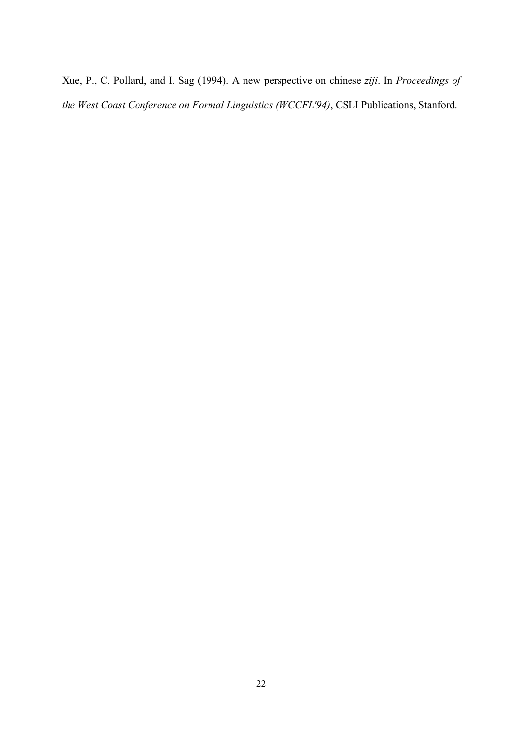Xue, P., C. Pollard, and I. Sag (1994). A new perspective on chinese *ziji*. In *Proceedings of the West Coast Conference on Formal Linguistics (WCCFL'94)*, CSLI Publications, Stanford.